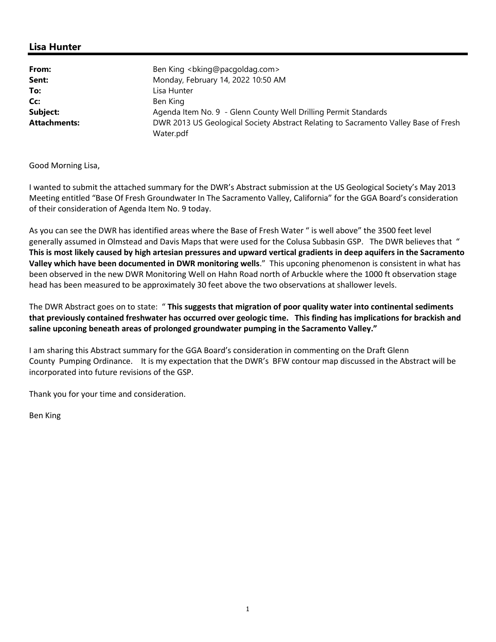## **Lisa Hunter**

| From:               | Ben King<br>bking@pacqoldag.com>                                                                 |
|---------------------|--------------------------------------------------------------------------------------------------|
| Sent:               | Monday, February 14, 2022 10:50 AM                                                               |
| To:                 | Lisa Hunter                                                                                      |
| Cc:                 | Ben King                                                                                         |
| Subject:            | Agenda Item No. 9 - Glenn County Well Drilling Permit Standards                                  |
| <b>Attachments:</b> | DWR 2013 US Geological Society Abstract Relating to Sacramento Valley Base of Fresh<br>Water.pdf |

## Good Morning Lisa,

I wanted to submit the attached summary for the DWR's Abstract submission at the US Geological Society's May 2013 Meeting entitled "Base Of Fresh Groundwater In The Sacramento Valley, California" for the GGA Board's consideration of their consideration of Agenda Item No. 9 today.

As you can see the DWR has identified areas where the Base of Fresh Water " is well above" the 3500 feet level generally assumed in Olmstead and Davis Maps that were used for the Colusa Subbasin GSP. The DWR believes that " **This is most likely caused by high artesian pressures and upward vertical gradients in deep aquifers in the Sacramento Valley which have been documented in DWR monitoring wells**." This upconing phenomenon is consistent in what has been observed in the new DWR Monitoring Well on Hahn Road north of Arbuckle where the 1000 ft observation stage head has been measured to be approximately 30 feet above the two observations at shallower levels.

The DWR Abstract goes on to state: " **This suggests that migration of poor quality water into continental sediments that previously contained freshwater has occurred over geologic time. This finding has implications for brackish and saline upconing beneath areas of prolonged groundwater pumping in the Sacramento Valley."**

I am sharing this Abstract summary for the GGA Board's consideration in commenting on the Draft Glenn County Pumping Ordinance. It is my expectation that the DWR's BFW contour map discussed in the Abstract will be incorporated into future revisions of the GSP.

Thank you for your time and consideration.

Ben King